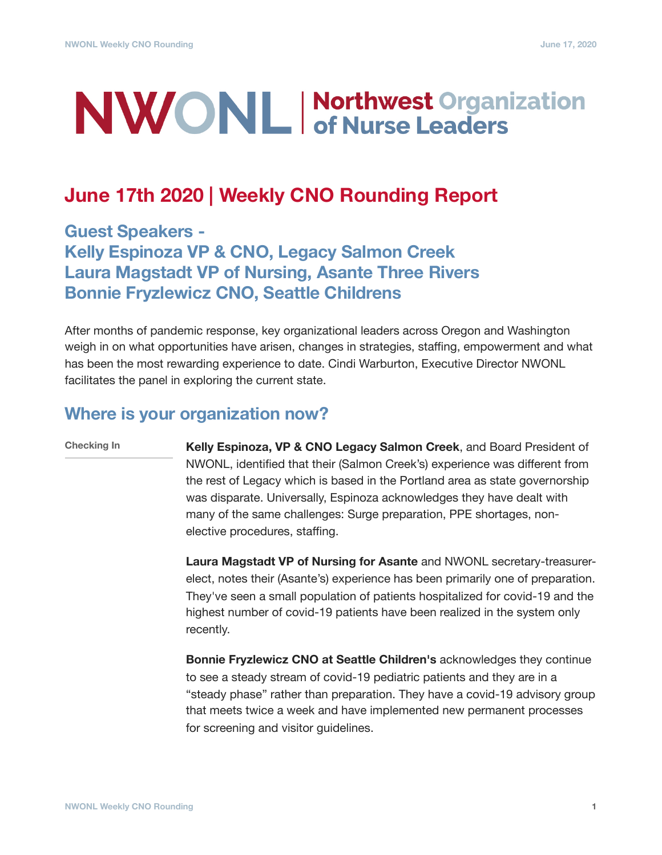# **NWONL Morthwest Organization**

## **June 17th 2020 | Weekly CNO Rounding Report**

**Guest Speakers - Kelly Espinoza VP & CNO, Legacy Salmon Creek Laura Magstadt VP of Nursing, Asante Three Rivers Bonnie Fryzlewicz CNO, Seattle Childrens** 

After months of pandemic response, key organizational leaders across Oregon and Washington weigh in on what opportunities have arisen, changes in strategies, staffing, empowerment and what has been the most rewarding experience to date. Cindi Warburton, Executive Director NWONL facilitates the panel in exploring the current state.

#### **Where is your organization now?**

**Checking In**

**Kelly Espinoza, VP & CNO Legacy Salmon Creek**, and Board President of NWONL, identified that their (Salmon Creek's) experience was different from the rest of Legacy which is based in the Portland area as state governorship was disparate. Universally, Espinoza acknowledges they have dealt with many of the same challenges: Surge preparation, PPE shortages, nonelective procedures, staffing.

**Laura Magstadt VP of Nursing for Asante** and NWONL secretary-treasurerelect, notes their (Asante's) experience has been primarily one of preparation. They've seen a small population of patients hospitalized for covid-19 and the highest number of covid-19 patients have been realized in the system only recently.

**Bonnie Fryzlewicz CNO at Seattle Children's** acknowledges they continue to see a steady stream of covid-19 pediatric patients and they are in a "steady phase" rather than preparation. They have a covid-19 advisory group that meets twice a week and have implemented new permanent processes for screening and visitor guidelines.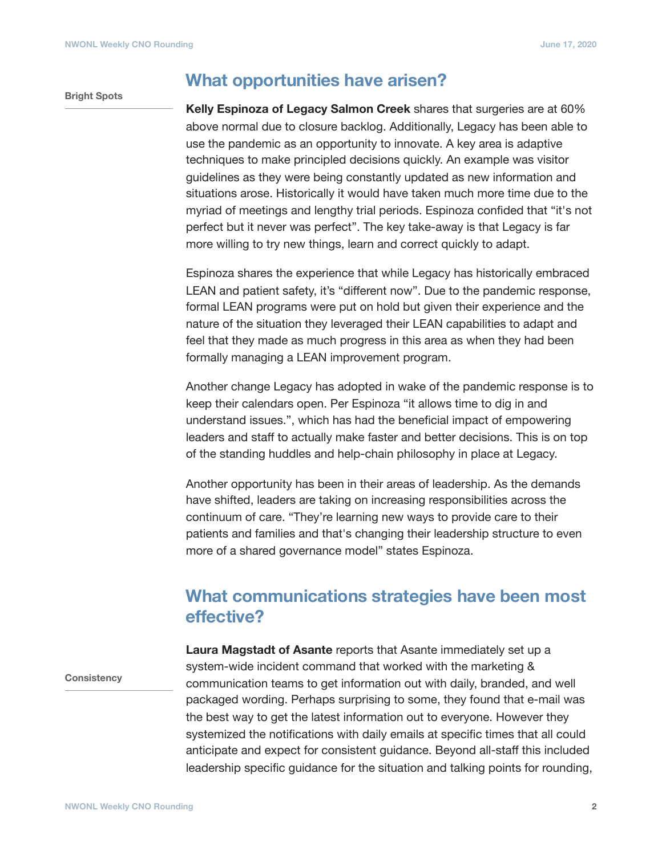#### **Bright Spots**

#### **What opportunities have arisen?**

**Kelly Espinoza of Legacy Salmon Creek** shares that surgeries are at 60% above normal due to closure backlog. Additionally, Legacy has been able to use the pandemic as an opportunity to innovate. A key area is adaptive techniques to make principled decisions quickly. An example was visitor guidelines as they were being constantly updated as new information and situations arose. Historically it would have taken much more time due to the myriad of meetings and lengthy trial periods. Espinoza confided that "it's not perfect but it never was perfect". The key take-away is that Legacy is far more willing to try new things, learn and correct quickly to adapt.

Espinoza shares the experience that while Legacy has historically embraced LEAN and patient safety, it's "different now". Due to the pandemic response, formal LEAN programs were put on hold but given their experience and the nature of the situation they leveraged their LEAN capabilities to adapt and feel that they made as much progress in this area as when they had been formally managing a LEAN improvement program.

Another change Legacy has adopted in wake of the pandemic response is to keep their calendars open. Per Espinoza "it allows time to dig in and understand issues.", which has had the beneficial impact of empowering leaders and staff to actually make faster and better decisions. This is on top of the standing huddles and help-chain philosophy in place at Legacy.

Another opportunity has been in their areas of leadership. As the demands have shifted, leaders are taking on increasing responsibilities across the continuum of care. "They're learning new ways to provide care to their patients and families and that's changing their leadership structure to even more of a shared governance model" states Espinoza.

### **What communications strategies have been most effective?**

**Consistency**

**Laura Magstadt of Asante** reports that Asante immediately set up a system-wide incident command that worked with the marketing & communication teams to get information out with daily, branded, and well packaged wording. Perhaps surprising to some, they found that e-mail was the best way to get the latest information out to everyone. However they systemized the notifications with daily emails at specific times that all could anticipate and expect for consistent guidance. Beyond all-staff this included leadership specific guidance for the situation and talking points for rounding,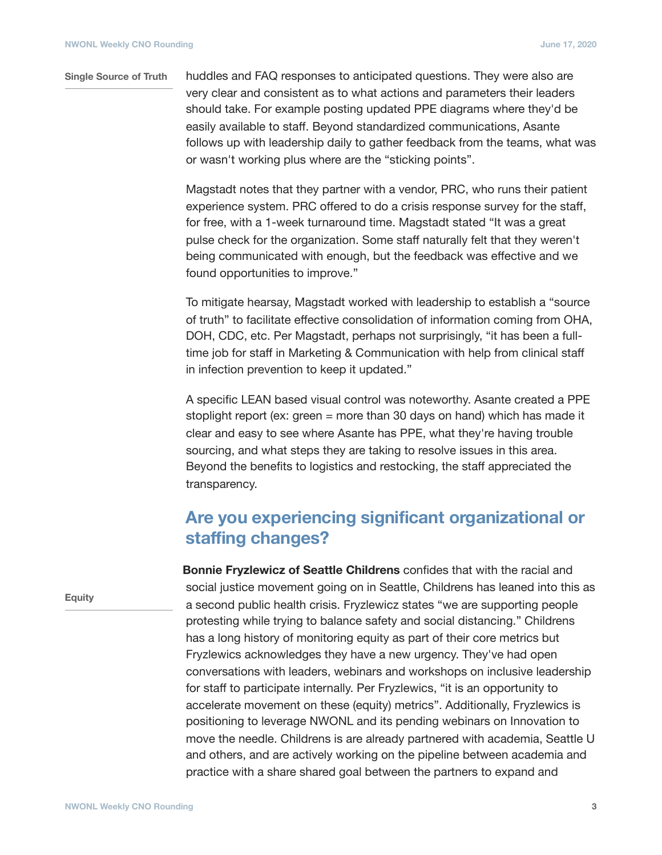#### huddles and FAQ responses to anticipated questions. They were also are very clear and consistent as to what actions and parameters their leaders should take. For example posting updated PPE diagrams where they'd be easily available to staff. Beyond standardized communications, Asante follows up with leadership daily to gather feedback from the teams, what was or wasn't working plus where are the "sticking points". **Single Source of Truth**

Magstadt notes that they partner with a vendor, PRC, who runs their patient experience system. PRC offered to do a crisis response survey for the staff, for free, with a 1-week turnaround time. Magstadt stated "It was a great pulse check for the organization. Some staff naturally felt that they weren't being communicated with enough, but the feedback was effective and we found opportunities to improve."

To mitigate hearsay, Magstadt worked with leadership to establish a "source of truth" to facilitate effective consolidation of information coming from OHA, DOH, CDC, etc. Per Magstadt, perhaps not surprisingly, "it has been a fulltime job for staff in Marketing & Communication with help from clinical staff in infection prevention to keep it updated."

A specific LEAN based visual control was noteworthy. Asante created a PPE stoplight report (ex: green = more than 30 days on hand) which has made it clear and easy to see where Asante has PPE, what they're having trouble sourcing, and what steps they are taking to resolve issues in this area. Beyond the benefits to logistics and restocking, the staff appreciated the transparency.

## **Are you experiencing significant organizational or staffing changes?**

**Bonnie Fryzlewicz of Seattle Childrens** confides that with the racial and social justice movement going on in Seattle, Childrens has leaned into this as a second public health crisis. Fryzlewicz states "we are supporting people protesting while trying to balance safety and social distancing." Childrens has a long history of monitoring equity as part of their core metrics but Fryzlewics acknowledges they have a new urgency. They've had open conversations with leaders, webinars and workshops on inclusive leadership for staff to participate internally. Per Fryzlewics, "it is an opportunity to accelerate movement on these (equity) metrics". Additionally, Fryzlewics is positioning to leverage NWONL and its pending webinars on Innovation to move the needle. Childrens is are already partnered with academia, Seattle U and others, and are actively working on the pipeline between academia and practice with a share shared goal between the partners to expand and

**Equity**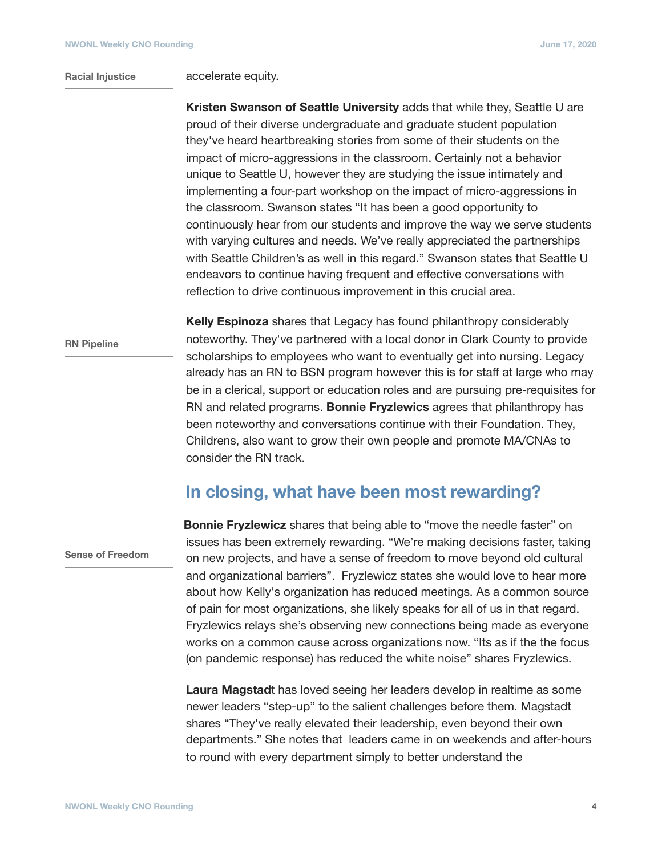#### **Racial Injustice**

accelerate equity.

**Kristen Swanson of Seattle University** adds that while they, Seattle U are proud of their diverse undergraduate and graduate student population they've heard heartbreaking stories from some of their students on the impact of micro-aggressions in the classroom. Certainly not a behavior unique to Seattle U, however they are studying the issue intimately and implementing a four-part workshop on the impact of micro-aggressions in the classroom. Swanson states "It has been a good opportunity to continuously hear from our students and improve the way we serve students with varying cultures and needs. We've really appreciated the partnerships with Seattle Children's as well in this regard." Swanson states that Seattle U endeavors to continue having frequent and effective conversations with reflection to drive continuous improvement in this crucial area.

**RN Pipeline**

**Kelly Espinoza** shares that Legacy has found philanthropy considerably noteworthy. They've partnered with a local donor in Clark County to provide scholarships to employees who want to eventually get into nursing. Legacy already has an RN to BSN program however this is for staff at large who may be in a clerical, support or education roles and are pursuing pre-requisites for RN and related programs. **Bonnie Fryzlewics** agrees that philanthropy has been noteworthy and conversations continue with their Foundation. They, Childrens, also want to grow their own people and promote MA/CNAs to consider the RN track.

#### **In closing, what have been most rewarding?**

**Sense of Freedom**

**Bonnie Fryzlewicz** shares that being able to "move the needle faster" on issues has been extremely rewarding. "We're making decisions faster, taking on new projects, and have a sense of freedom to move beyond old cultural and organizational barriers". Fryzlewicz states she would love to hear more about how Kelly's organization has reduced meetings. As a common source of pain for most organizations, she likely speaks for all of us in that regard. Fryzlewics relays she's observing new connections being made as everyone works on a common cause across organizations now. "Its as if the the focus (on pandemic response) has reduced the white noise" shares Fryzlewics.

**Laura Magstad**t has loved seeing her leaders develop in realtime as some newer leaders "step-up" to the salient challenges before them. Magstadt shares "They've really elevated their leadership, even beyond their own departments." She notes that leaders came in on weekends and after-hours to round with every department simply to better understand the